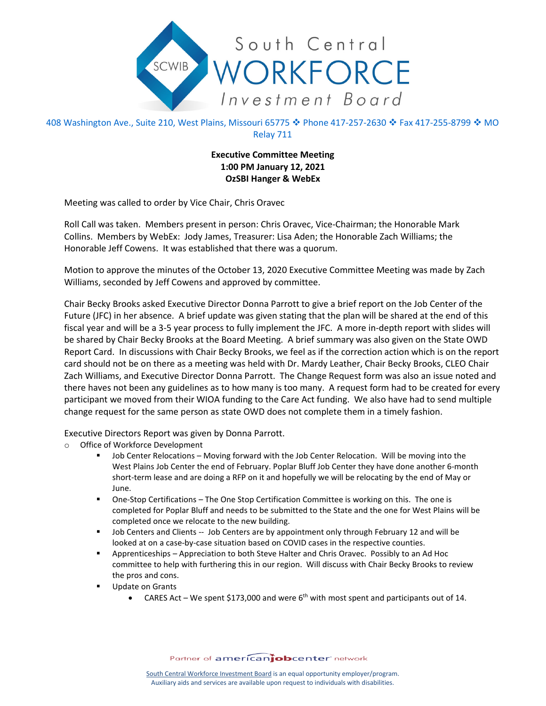

408 Washington Ave., Suite 210, West Plains, Missouri 65775 � Phone 417-257-2630 � Fax 417-255-8799 � MO Relay 711

## **Executive Committee Meeting 1:00 PM January 12, 2021 OzSBI Hanger & WebEx**

Meeting was called to order by Vice Chair, Chris Oravec

Roll Call was taken. Members present in person: Chris Oravec, Vice-Chairman; the Honorable Mark Collins. Members by WebEx: Jody James, Treasurer: Lisa Aden; the Honorable Zach Williams; the Honorable Jeff Cowens. It was established that there was a quorum.

Motion to approve the minutes of the October 13, 2020 Executive Committee Meeting was made by Zach Williams, seconded by Jeff Cowens and approved by committee.

Chair Becky Brooks asked Executive Director Donna Parrott to give a brief report on the Job Center of the Future (JFC) in her absence. A brief update was given stating that the plan will be shared at the end of this fiscal year and will be a 3-5 year process to fully implement the JFC. A more in-depth report with slides will be shared by Chair Becky Brooks at the Board Meeting. A brief summary was also given on the State OWD Report Card. In discussions with Chair Becky Brooks, we feel as if the correction action which is on the report card should not be on there as a meeting was held with Dr. Mardy Leather, Chair Becky Brooks, CLEO Chair Zach Williams, and Executive Director Donna Parrott. The Change Request form was also an issue noted and there haves not been any guidelines as to how many is too many. A request form had to be created for every participant we moved from their WIOA funding to the Care Act funding. We also have had to send multiple change request for the same person as state OWD does not complete them in a timely fashion.

Executive Directors Report was given by Donna Parrott.

- o Office of Workforce Development
	- Job Center Relocations Moving forward with the Job Center Relocation. Will be moving into the West Plains Job Center the end of February. Poplar Bluff Job Center they have done another 6-month short-term lease and are doing a RFP on it and hopefully we will be relocating by the end of May or June.
	- One-Stop Certifications The One Stop Certification Committee is working on this. The one is completed for Poplar Bluff and needs to be submitted to the State and the one for West Plains will be completed once we relocate to the new building.
	- **Job Centers and Clients -- Job Centers are by appointment only through February 12 and will be** looked at on a case-by-case situation based on COVID cases in the respective counties.
	- Apprenticeships Appreciation to both Steve Halter and Chris Oravec. Possibly to an Ad Hoc committee to help with furthering this in our region. Will discuss with Chair Becky Brooks to review the pros and cons.
	- **Update on Grants** 
		- CARES Act We spent \$173,000 and were  $6<sup>th</sup>$  with most spent and participants out of 14.

Partner of americanjobcenter network